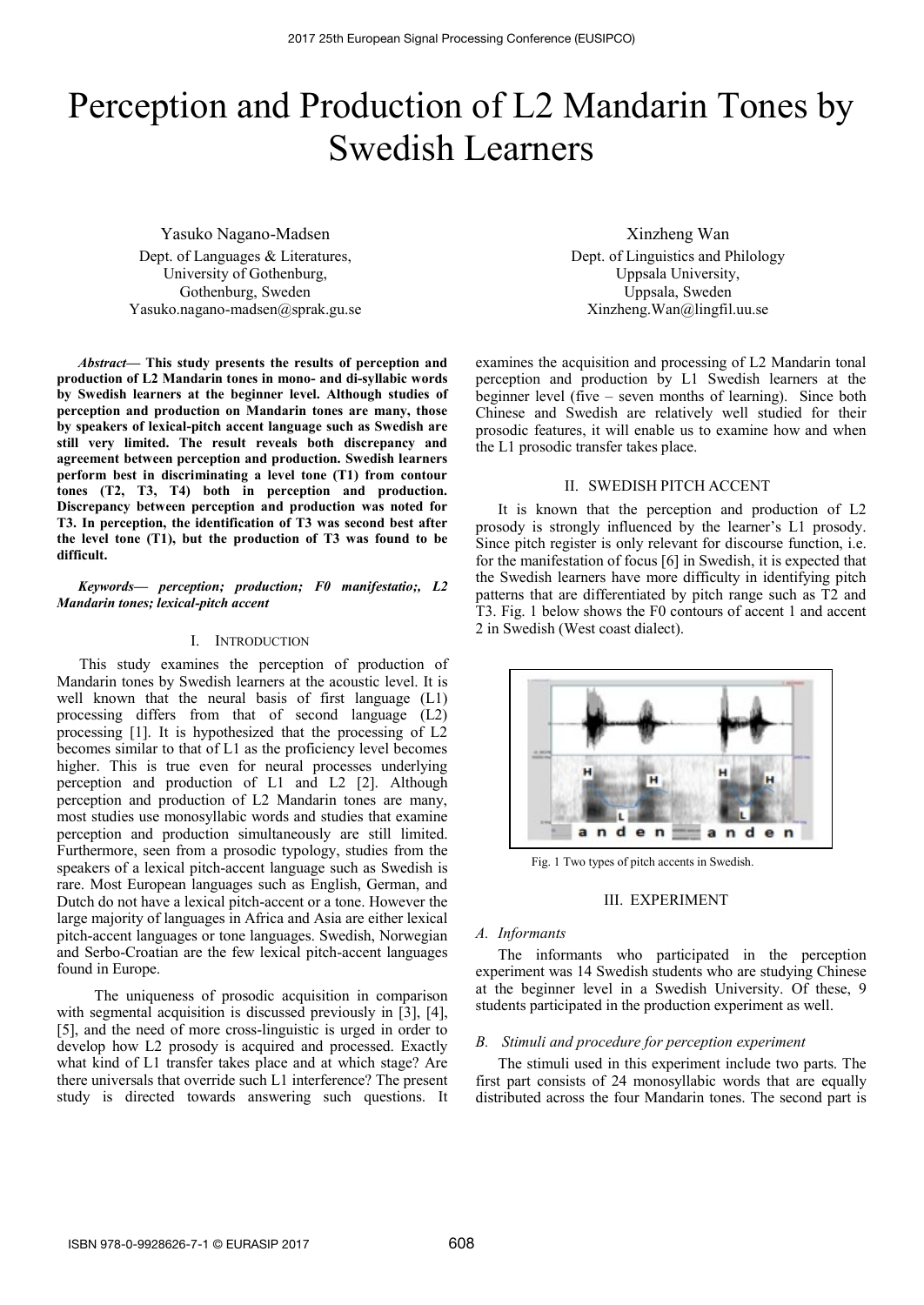# Perception and Production of L2 Mandarin Tones by Swedish Learners

Yasuko Nagano-Madsen Dept. of Languages & Literatures, University of Gothenburg, Gothenburg, Sweden Yasuko.nagano-madsen@sprak.gu.se

*Abstract***— This study presents the results of perception and production of L2 Mandarin tones in mono- and di-syllabic words by Swedish learners at the beginner level. Although studies of perception and production on Mandarin tones are many, those by speakers of lexical-pitch accent language such as Swedish are still very limited. The result reveals both discrepancy and agreement between perception and production. Swedish learners perform best in discriminating a level tone (T1) from contour tones (T2, T3, T4) both in perception and production. Discrepancy between perception and production was noted for T3. In perception, the identification of T3 was second best after the level tone (T1), but the production of T3 was found to be difficult.** 

*Keywords— perception; production; F0 manifestatio;, L2 Mandarin tones; lexical-pitch accent* 

## I. INTRODUCTION

This study examines the perception of production of Mandarin tones by Swedish learners at the acoustic level. It is well known that the neural basis of first language (L1) processing differs from that of second language (L2) processing [1]. It is hypothesized that the processing of L2 becomes similar to that of L1 as the proficiency level becomes higher. This is true even for neural processes underlying perception and production of L1 and L2 [2]. Although perception and production of L2 Mandarin tones are many, most studies use monosyllabic words and studies that examine perception and production simultaneously are still limited. Furthermore, seen from a prosodic typology, studies from the speakers of a lexical pitch-accent language such as Swedish is rare. Most European languages such as English, German, and Dutch do not have a lexical pitch-accent or a tone. However the large majority of languages in Africa and Asia are either lexical pitch-accent languages or tone languages. Swedish, Norwegian and Serbo-Croatian are the few lexical pitch-accent languages found in Europe.

 The uniqueness of prosodic acquisition in comparison with segmental acquisition is discussed previously in [3], [4], [5], and the need of more cross-linguistic is urged in order to develop how L2 prosody is acquired and processed. Exactly what kind of L1 transfer takes place and at which stage? Are there universals that override such L1 interference? The present study is directed towards answering such questions. It

Xinzheng Wan Dept. of Linguistics and Philology Uppsala University, Uppsala, Sweden Xinzheng.Wan@lingfil.uu.se

examines the acquisition and processing of L2 Mandarin tonal perception and production by L1 Swedish learners at the beginner level (five – seven months of learning). Since both Chinese and Swedish are relatively well studied for their prosodic features, it will enable us to examine how and when the L1 prosodic transfer takes place.

#### II. SWEDISH PITCH ACCENT

It is known that the perception and production of L2 prosody is strongly influenced by the learner's L1 prosody. Since pitch register is only relevant for discourse function, i.e. for the manifestation of focus [6] in Swedish, it is expected that the Swedish learners have more difficulty in identifying pitch patterns that are differentiated by pitch range such as T2 and T3. Fig. 1 below shows the F0 contours of accent 1 and accent 2 in Swedish (West coast dialect).



Fig. 1 Two types of pitch accents in Swedish.

#### III. EXPERIMENT

#### *A. Informants*

The informants who participated in the perception experiment was 14 Swedish students who are studying Chinese at the beginner level in a Swedish University. Of these, 9 students participated in the production experiment as well.

### *B. Stimuli and procedure for perception experiment*

The stimuli used in this experiment include two parts. The first part consists of 24 monosyllabic words that are equally distributed across the four Mandarin tones. The second part is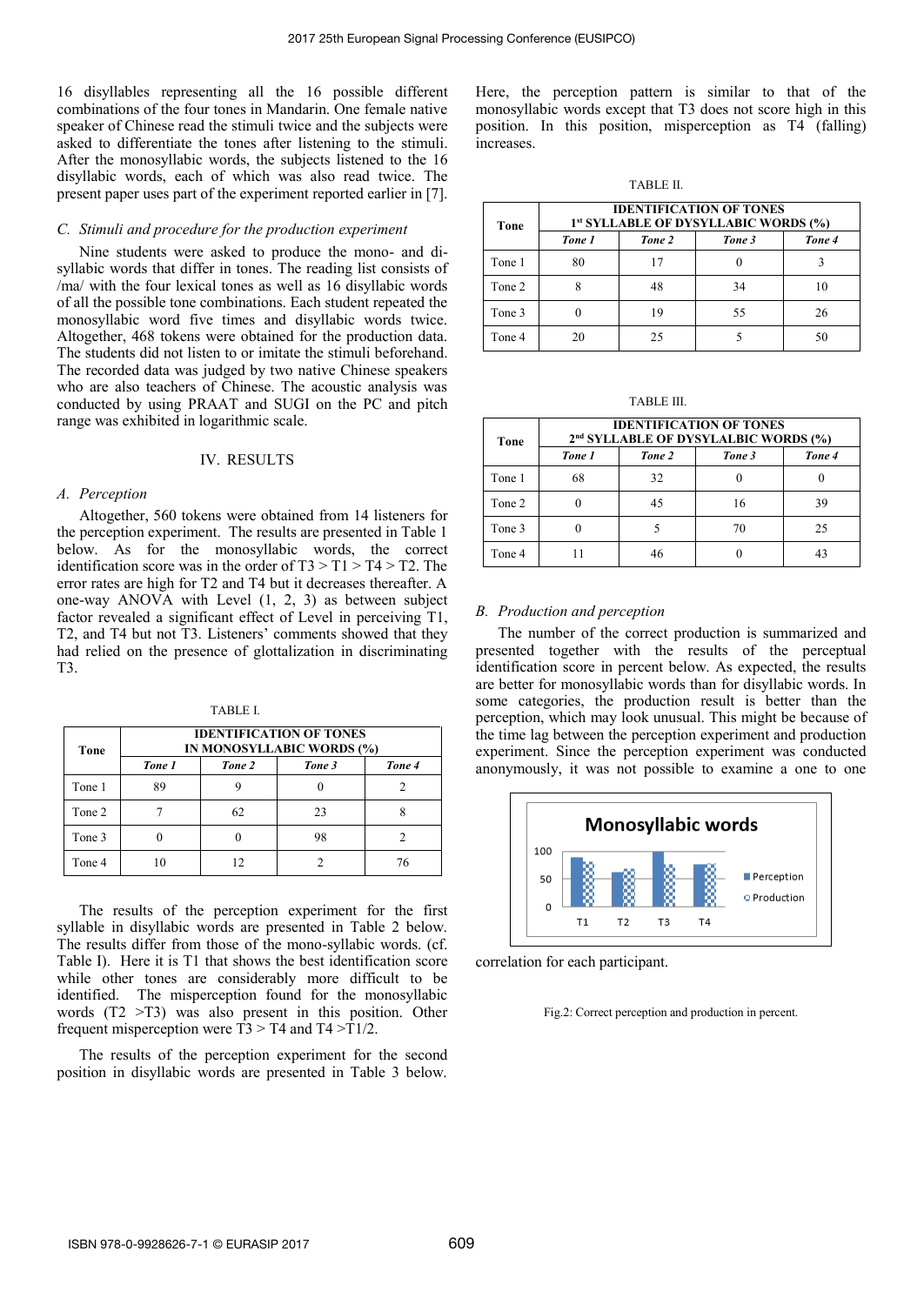16 disyllables representing all the 16 possible different combinations of the four tones in Mandarin. One female native speaker of Chinese read the stimuli twice and the subjects were asked to differentiate the tones after listening to the stimuli. After the monosyllabic words, the subjects listened to the 16 disyllabic words, each of which was also read twice. The present paper uses part of the experiment reported earlier in [7].

#### *C. Stimuli and procedure for the production experiment*

Nine students were asked to produce the mono- and disyllabic words that differ in tones. The reading list consists of /ma/ with the four lexical tones as well as 16 disyllabic words of all the possible tone combinations. Each student repeated the monosyllabic word five times and disyllabic words twice. Altogether, 468 tokens were obtained for the production data. The students did not listen to or imitate the stimuli beforehand. The recorded data was judged by two native Chinese speakers who are also teachers of Chinese. The acoustic analysis was conducted by using PRAAT and SUGI on the PC and pitch range was exhibited in logarithmic scale.

#### IV. RESULTS

#### *A. Perception*

Altogether, 560 tokens were obtained from 14 listeners for the perception experiment. The results are presented in Table 1 below. As for the monosyllabic words, the correct identification score was in the order of  $T3 > T1 > T4 > T2$ . The error rates are high for T2 and T4 but it decreases thereafter. A one-way ANOVA with Level (1, 2, 3) as between subject factor revealed a significant effect of Level in perceiving T1, T2, and T4 but not T3. Listeners' comments showed that they had relied on the presence of glottalization in discriminating T3.

TABLE I.

| Tone   | <b>IDENTIFICATION OF TONES</b><br>IN MONOSYLLABIC WORDS (%) |        |        |        |  |
|--------|-------------------------------------------------------------|--------|--------|--------|--|
|        | Tone 1                                                      | Tone 2 | Tone 3 | Tone 4 |  |
| Tone 1 | 89                                                          |        |        |        |  |
| Tone 2 |                                                             | 62     | 23     |        |  |
| Tone 3 |                                                             |        | 98     |        |  |
| Tone 4 | 10                                                          |        |        | 76     |  |

The results of the perception experiment for the first syllable in disyllabic words are presented in Table 2 below. The results differ from those of the mono-syllabic words. (cf. Table I). Here it is T1 that shows the best identification score while other tones are considerably more difficult to be identified. The misperception found for the monosyllabic words (T2 >T3) was also present in this position. Other frequent misperception were  $T3 > T4$  and  $T4 > T1/2$ .

The results of the perception experiment for the second position in disyllabic words are presented in Table 3 below.

Here, the perception pattern is similar to that of the monosyllabic words except that T3 does not score high in this position. In this position, misperception as T4 (falling) increases.

TABLE II.

| Tone   | <b>IDENTIFICATION OF TONES</b><br>1 <sup>st</sup> SYLLABLE OF DYSYLLABIC WORDS (%) |        |        |        |  |
|--------|------------------------------------------------------------------------------------|--------|--------|--------|--|
|        | Tone 1                                                                             | Tone 2 | Tone 3 | Tone 4 |  |
| Tone 1 | 80                                                                                 | 17     |        |        |  |
| Tone 2 |                                                                                    | 48     | 34     | 10     |  |
| Tone 3 |                                                                                    | 19     | 55     | 26     |  |
| Tone 4 | 20                                                                                 | 25     |        | 50     |  |

TABLE III.

| Tone   | <b>IDENTIFICATION OF TONES</b><br>2 <sup>nd</sup> SYLLABLE OF DYSYLALBIC WORDS (%) |        |        |        |  |
|--------|------------------------------------------------------------------------------------|--------|--------|--------|--|
|        | Tone 1                                                                             | Tone 2 | Tone 3 | Tone 4 |  |
| Tone 1 | 68                                                                                 | 32     |        |        |  |
| Tone 2 |                                                                                    | 45     | 16     | 39     |  |
| Tone 3 |                                                                                    |        | 70     | 25     |  |
| Tone 4 |                                                                                    | 46     |        | 43     |  |

#### *B. Production and perception*

The number of the correct production is summarized and presented together with the results of the perceptual identification score in percent below. As expected, the results are better for monosyllabic words than for disyllabic words. In some categories, the production result is better than the perception, which may look unusual. This might be because of the time lag between the perception experiment and production experiment. Since the perception experiment was conducted anonymously, it was not possible to examine a one to one



correlation for each participant.

Fig.2: Correct perception and production in percent.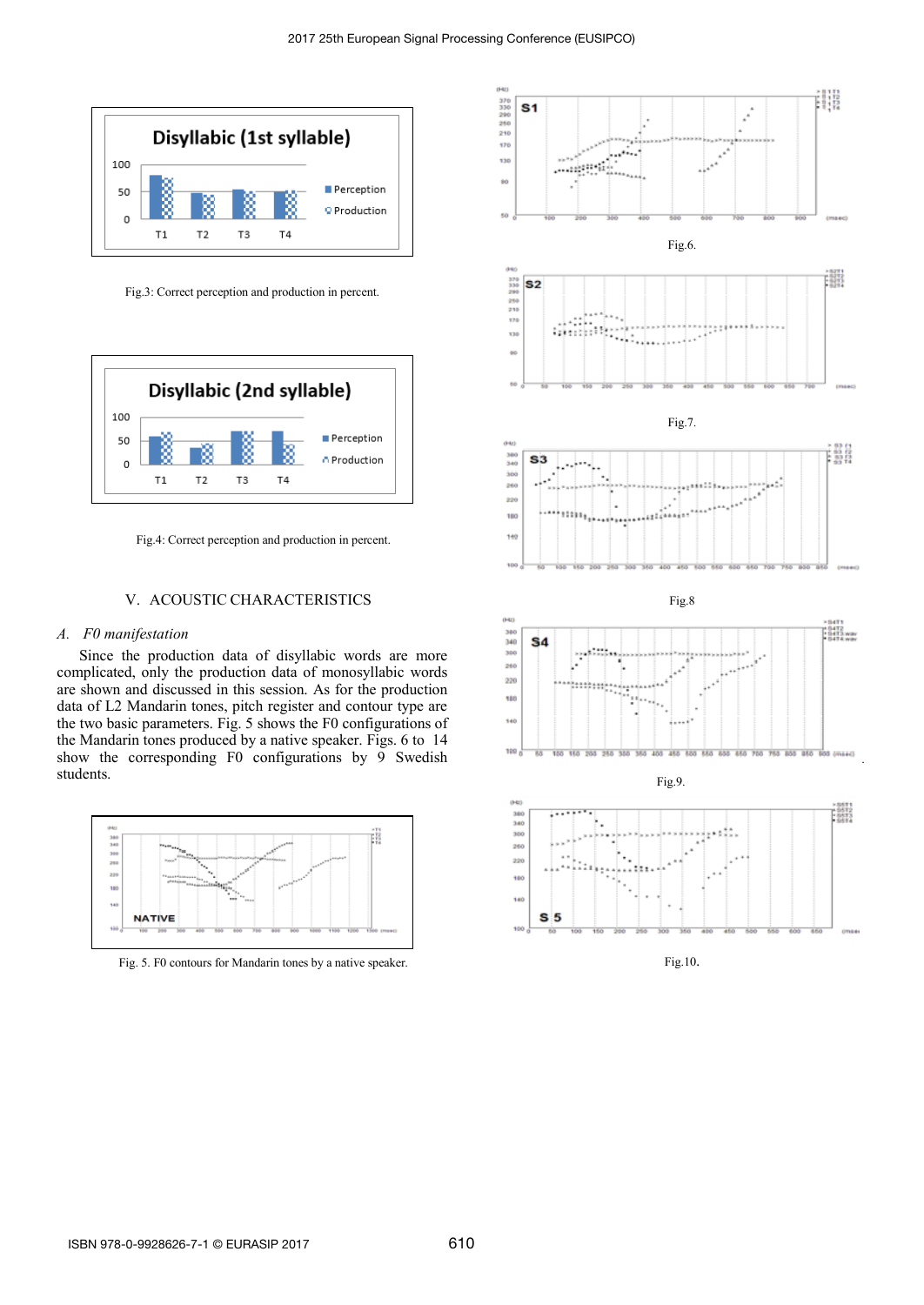

Fig.3: Correct perception and production in percent.



Fig.4: Correct perception and production in percent.

## V. ACOUSTIC CHARACTERISTICS

# *A. F0 manifestation*

Since the production data of disyllabic words are more complicated, only the production data of monosyllabic words are shown and discussed in this session. As for the production data of L2 Mandarin tones, pitch register and contour type are the two basic parameters. Fig. 5 shows the F0 configurations of the Mandarin tones produced by a native speaker. Figs. 6 to 14 show the corresponding F0 configurations by 9 Swedish students.



Fig. 5. F0 contours for Mandarin tones by a native speaker.

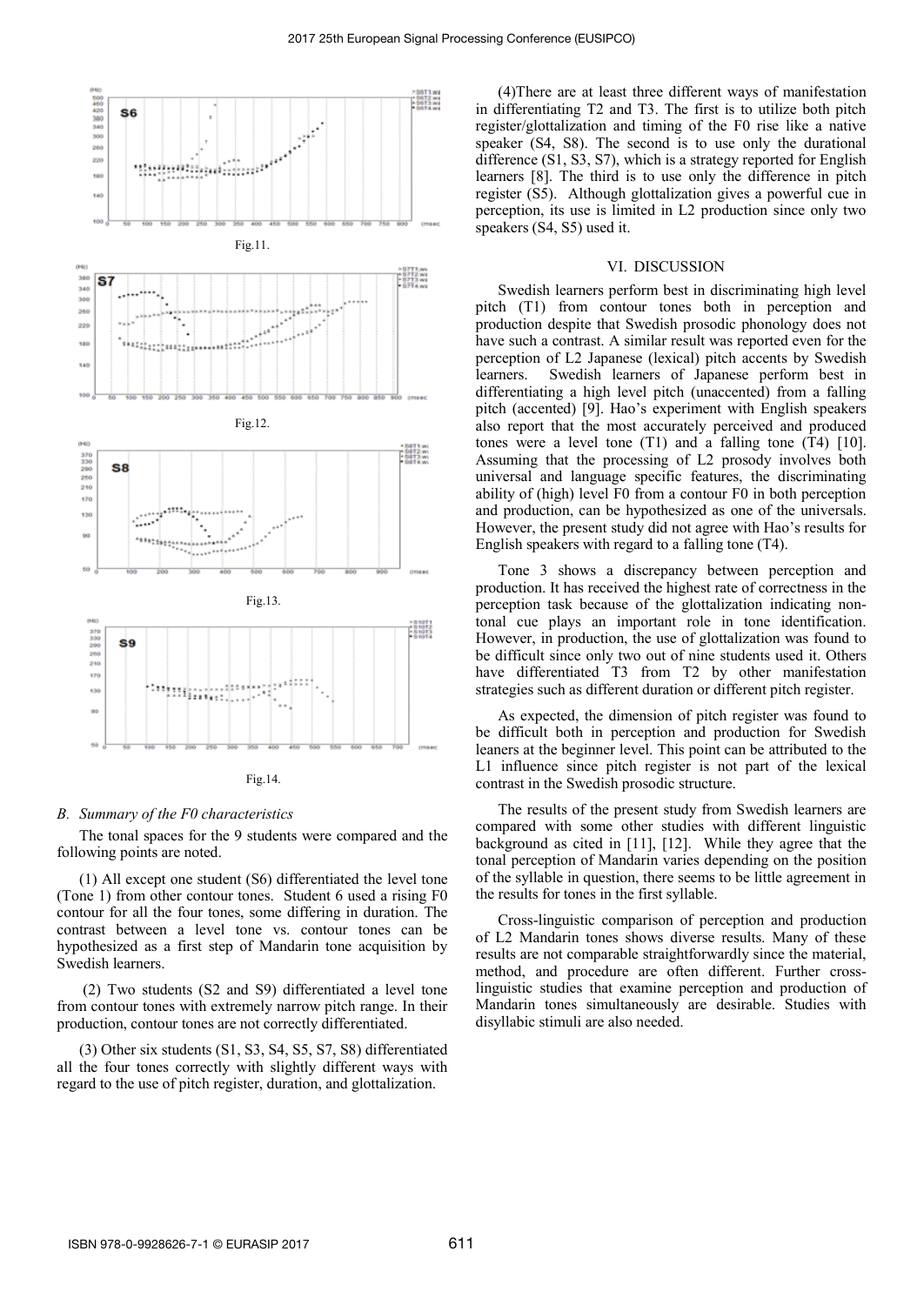

#### *B. Summary of the F0 characteristics*

The tonal spaces for the 9 students were compared and the following points are noted.

 (1) All except one student (S6) differentiated the level tone (Tone 1) from other contour tones. Student 6 used a rising F0 contour for all the four tones, some differing in duration. The contrast between a level tone vs. contour tones can be hypothesized as a first step of Mandarin tone acquisition by Swedish learners.

 (2) Two students (S2 and S9) differentiated a level tone from contour tones with extremely narrow pitch range. In their production, contour tones are not correctly differentiated.

(3) Other six students (S1, S3, S4, S5, S7, S8) differentiated all the four tones correctly with slightly different ways with regard to the use of pitch register, duration, and glottalization.

(4)There are at least three different ways of manifestation in differentiating T2 and T3. The first is to utilize both pitch register/glottalization and timing of the F0 rise like a native speaker (S4, S8). The second is to use only the durational difference (S1, S3, S7), which is a strategy reported for English learners [8]. The third is to use only the difference in pitch register (S5). Although glottalization gives a powerful cue in perception, its use is limited in L2 production since only two speakers (S4, S5) used it.

## VI. DISCUSSION

Swedish learners perform best in discriminating high level pitch (T1) from contour tones both in perception and production despite that Swedish prosodic phonology does not have such a contrast. A similar result was reported even for the perception of L2 Japanese (lexical) pitch accents by Swedish learners. Swedish learners of Japanese perform best in differentiating a high level pitch (unaccented) from a falling pitch (accented) [9]. Hao's experiment with English speakers also report that the most accurately perceived and produced tones were a level tone (T1) and a falling tone (T4) [10]. Assuming that the processing of L2 prosody involves both universal and language specific features, the discriminating ability of (high) level F0 from a contour F0 in both perception and production, can be hypothesized as one of the universals. However, the present study did not agree with Hao's results for English speakers with regard to a falling tone (T4).

Tone 3 shows a discrepancy between perception and production. It has received the highest rate of correctness in the perception task because of the glottalization indicating nontonal cue plays an important role in tone identification. However, in production, the use of glottalization was found to be difficult since only two out of nine students used it. Others have differentiated T3 from T2 by other manifestation strategies such as different duration or different pitch register.

As expected, the dimension of pitch register was found to be difficult both in perception and production for Swedish leaners at the beginner level. This point can be attributed to the L1 influence since pitch register is not part of the lexical contrast in the Swedish prosodic structure.

The results of the present study from Swedish learners are compared with some other studies with different linguistic background as cited in [11], [12]. While they agree that the tonal perception of Mandarin varies depending on the position of the syllable in question, there seems to be little agreement in the results for tones in the first syllable.

Cross-linguistic comparison of perception and production of L2 Mandarin tones shows diverse results. Many of these results are not comparable straightforwardly since the material, method, and procedure are often different. Further crosslinguistic studies that examine perception and production of Mandarin tones simultaneously are desirable. Studies with disyllabic stimuli are also needed.